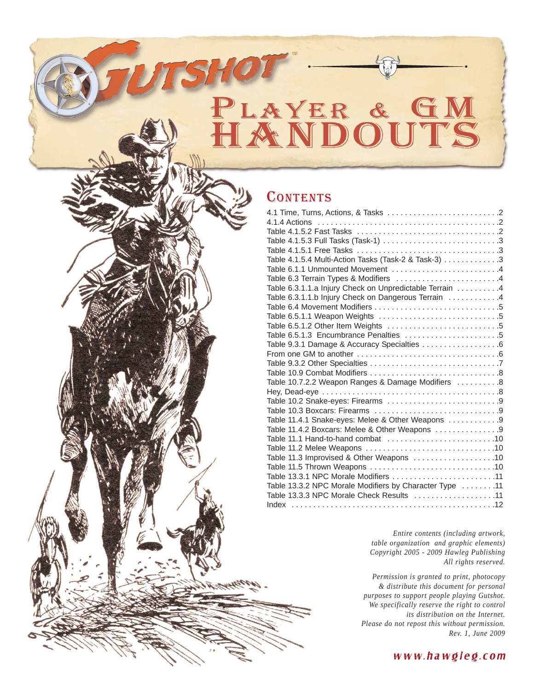# PLAYER & HAN

#### **CONTENTS**

| Table 4.1.5.4 Multi-Action Tasks (Task-2 & Task-3) 3    |  |
|---------------------------------------------------------|--|
| Table 6.1.1 Unmounted Movement 4                        |  |
| Table 6.3 Terrain Types & Modifiers 4                   |  |
| Table 6.3.1.1.a Injury Check on Unpredictable Terrain 4 |  |
| Table 6.3.1.1.b Injury Check on Dangerous Terrain 4     |  |
|                                                         |  |
|                                                         |  |
|                                                         |  |
| Table 6.5.1.3 Encumbrance Penalties 5                   |  |
| Table 9.3.1 Damage & Accuracy Specialties 6             |  |
|                                                         |  |
|                                                         |  |
|                                                         |  |
| Table 10.7.2.2 Weapon Ranges & Damage Modifiers 8       |  |
|                                                         |  |
|                                                         |  |
|                                                         |  |
| Table 11.4.1 Snake-eyes: Melee & Other Weapons 9        |  |
| Table 11.4.2 Boxcars: Melee & Other Weapons 9           |  |
|                                                         |  |
|                                                         |  |
| Table 11.3 Improvised & Other Weapons 10                |  |
|                                                         |  |
| Table 13.3.1 NPC Morale Modifiers 11                    |  |
| Table 13.3.2 NPC Morale Modifiers by Character Type 11  |  |
| Table 13.3.3 NPC Morale Check Results 11                |  |
|                                                         |  |
|                                                         |  |

*Entire contents (including artwork, table organization and graphic elements) Copyright 2005 - 2009 Hawleg Publishing All rights reserved.*

*Permission is granted to print, photocopy & distribute this document for personal purposes to support people playing Gutshot. We specifically reserve the right to control its distribution on the Internet. Please do not repost this without permission. Rev. 1, June 2009*

#### www.hawgleg.com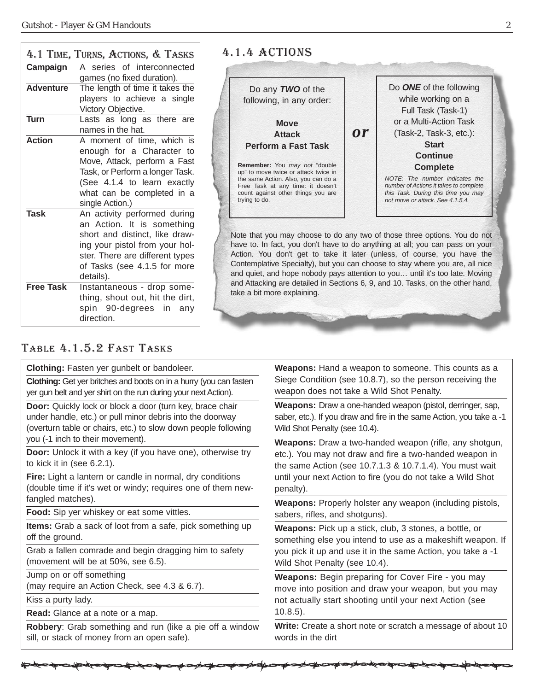|                                 | 4.1 TIME, TURNS, ACTIONS, & TASKS                                                                                                                                                                                                                                                                                       | 4.1.4 ACTIONS                                                                                                                                                                                                                                                                                                                                                                                                                                                                                                         |                                                                                                                                                                                                           |
|---------------------------------|-------------------------------------------------------------------------------------------------------------------------------------------------------------------------------------------------------------------------------------------------------------------------------------------------------------------------|-----------------------------------------------------------------------------------------------------------------------------------------------------------------------------------------------------------------------------------------------------------------------------------------------------------------------------------------------------------------------------------------------------------------------------------------------------------------------------------------------------------------------|-----------------------------------------------------------------------------------------------------------------------------------------------------------------------------------------------------------|
| Campaign                        | A series of interconnected<br>games (no fixed duration).                                                                                                                                                                                                                                                                |                                                                                                                                                                                                                                                                                                                                                                                                                                                                                                                       |                                                                                                                                                                                                           |
| <b>Adventure</b>                | The length of time it takes the<br>players to achieve a single<br>Victory Objective.                                                                                                                                                                                                                                    | Do any <b>TWO</b> of the<br>following, in any order:                                                                                                                                                                                                                                                                                                                                                                                                                                                                  | Do ONE of the following<br>while working on a<br>Full Task (Task-1)                                                                                                                                       |
| <b>Turn</b>                     | Lasts as long as there are<br>names in the hat.                                                                                                                                                                                                                                                                         | <b>Move</b><br>or<br><b>Attack</b>                                                                                                                                                                                                                                                                                                                                                                                                                                                                                    | or a Multi-Action Task<br>(Task-2, Task-3, etc.):                                                                                                                                                         |
| <b>Action</b>                   | A moment of time, which is<br>enough for a Character to<br>Move, Attack, perform a Fast<br>Task, or Perform a longer Task.<br>(See 4.1.4 to learn exactly<br>what can be completed in a<br>single Action.)                                                                                                              | <b>Perform a Fast Task</b><br>Remember: You may not "double<br>up" to move twice or attack twice in<br>the same Action. Also, you can do a<br>Free Task at any time: it doesn't<br>count against other things you are<br>trying to do.                                                                                                                                                                                                                                                                                | <b>Start</b><br><b>Continue</b><br><b>Complete</b><br>NOTE: The number indicates the<br>number of Actions it takes to complete<br>this Task. During this time you may<br>not move or attack. See 4.1.5.4. |
| <b>Task</b><br><b>Free Task</b> | An activity performed during<br>an Action. It is something<br>short and distinct, like draw-<br>ing your pistol from your hol-<br>ster. There are different types<br>of Tasks (see 4.1.5 for more<br>details).<br>Instantaneous - drop some-<br>thing, shout out, hit the dirt,<br>spin 90-degrees in any<br>direction. | Note that you may choose to do any two of those three options. You do not<br>have to. In fact, you don't have to do anything at all; you can pass on your<br>Action. You don't get to take it later (unless, of course, you have the<br>Contemplative Specialty), but you can choose to stay where you are, all nice<br>and quiet, and hope nobody pays attention to you until it's too late. Moving<br>and Attacking are detailed in Sections 6, 9, and 10. Tasks, on the other hand,<br>take a bit more explaining. |                                                                                                                                                                                                           |

#### TABLE 4.1.5.2 FAST TASKS

**Clothing:** Fasten yer gunbelt or bandoleer.

**Clothing:** Get yer britches and boots on in a hurry (you can fasten yer gun belt and yer shirt on the run during your next Action).

**Door:** Quickly lock or block a door (turn key, brace chair under handle, etc.) or pull minor debris into the doorway (overturn table or chairs, etc.) to slow down people following you (-1 inch to their movement).

**Door:** Unlock it with a key (if you have one), otherwise try to kick it in (see 6.2.1).

**Fire:** Light a lantern or candle in normal, dry conditions (double time if it's wet or windy; requires one of them newfangled matches).

**Food:** Sip yer whiskey or eat some vittles.

**Items:** Grab a sack of loot from a safe, pick something up off the ground.

Grab a fallen comrade and begin dragging him to safety (movement will be at 50%, see 6.5).

Jump on or off something

(may require an Action Check, see 4.3 & 6.7).

Kiss a purty lady.

**Read:** Glance at a note or a map.

**Robbery**: Grab something and run (like a pie off a window sill, or stack of money from an open safe).

**Weapons:** Hand a weapon to someone. This counts as a Siege Condition (see 10.8.7), so the person receiving the weapon does not take a Wild Shot Penalty.

**Weapons:** Draw a one-handed weapon (pistol, derringer, sap, saber, etc.). If you draw and fire in the same Action, you take a -1 Wild Shot Penalty (see 10.4).

**Weapons:** Draw a two-handed weapon (rifle, any shotgun, etc.). You may not draw and fire a two-handed weapon in the same Action (see 10.7.1.3 & 10.7.1.4). You must wait until your next Action to fire (you do not take a Wild Shot penalty).

**Weapons:** Properly holster any weapon (including pistols, sabers, rifles, and shotguns).

**Weapons:** Pick up a stick, club, 3 stones, a bottle, or something else you intend to use as a makeshift weapon. If you pick it up and use it in the same Action, you take a -1 Wild Shot Penalty (see 10.4).

**Weapons:** Begin preparing for Cover Fire - you may move into position and draw your weapon, but you may not actually start shooting until your next Action (see 10.8.5).

**Write:** Create a short note or scratch a message of about 10 words in the dirt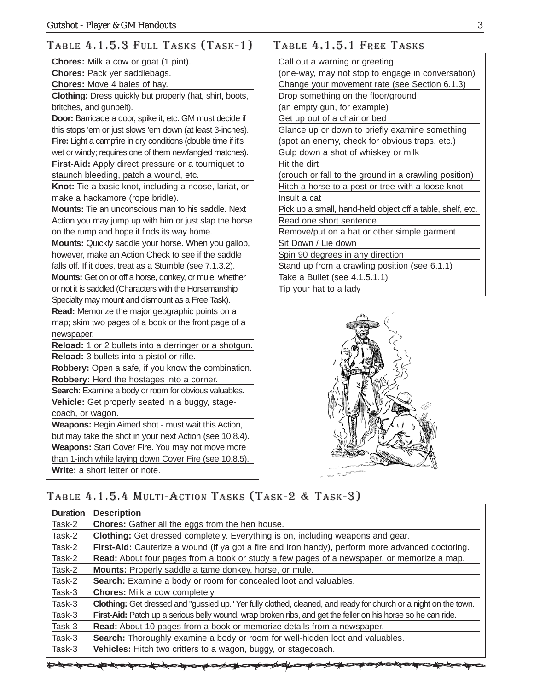#### TABLE 4.1.5.3 FULL TASKS (TASK-1)

| Chores: Pack yer saddlebags.<br>Chores: Move 4 bales of hay.<br>Clothing: Dress quickly but properly (hat, shirt, boots,<br>britches, and gunbelt).<br>Door: Barricade a door, spike it, etc. GM must decide if<br>this stops 'em or just slows 'em down (at least 3-inches).<br>Fire: Light a campfire in dry conditions (double time if it's<br>wet or windy; requires one of them newfangled matches).<br>First-Aid: Apply direct pressure or a tourniquet to<br>staunch bleeding, patch a wound, etc.<br>Knot: Tie a basic knot, including a noose, lariat, or<br>make a hackamore (rope bridle).<br>Mounts: Tie an unconscious man to his saddle. Next<br>Action you may jump up with him or just slap the horse<br>on the rump and hope it finds its way home.<br>Mounts: Quickly saddle your horse. When you gallop,<br>however, make an Action Check to see if the saddle<br>falls off. If it does, treat as a Stumble (see 7.1.3.2).<br>Mounts: Get on or off a horse, donkey, or mule, whether<br>or not it is saddled (Characters with the Horsemanship<br>Specialty may mount and dismount as a Free Task).<br>Read: Memorize the major geographic points on a<br>map; skim two pages of a book or the front page of a<br>newspaper.<br>Reload: 1 or 2 bullets into a derringer or a shotgun.<br>Reload: 3 bullets into a pistol or rifle.<br>Robbery: Open a safe, if you know the combination.<br>Robbery: Herd the hostages into a corner.<br>Search: Examine a body or room for obvious valuables.<br>Vehicle: Get properly seated in a buggy, stage-<br>coach, or wagon.<br>Weapons: Begin Aimed shot - must wait this Action,<br>but may take the shot in your next Action (see 10.8.4).<br>Weapons: Start Cover Fire. You may not move more<br>than 1-inch while laying down Cover Fire (see 10.8.5).<br>Write: a short letter or note. | <b>Chores:</b> Milk a cow or goat (1 pint). |
|------------------------------------------------------------------------------------------------------------------------------------------------------------------------------------------------------------------------------------------------------------------------------------------------------------------------------------------------------------------------------------------------------------------------------------------------------------------------------------------------------------------------------------------------------------------------------------------------------------------------------------------------------------------------------------------------------------------------------------------------------------------------------------------------------------------------------------------------------------------------------------------------------------------------------------------------------------------------------------------------------------------------------------------------------------------------------------------------------------------------------------------------------------------------------------------------------------------------------------------------------------------------------------------------------------------------------------------------------------------------------------------------------------------------------------------------------------------------------------------------------------------------------------------------------------------------------------------------------------------------------------------------------------------------------------------------------------------------------------------------------------------------------------------------------------------------------------------------------------|---------------------------------------------|
|                                                                                                                                                                                                                                                                                                                                                                                                                                                                                                                                                                                                                                                                                                                                                                                                                                                                                                                                                                                                                                                                                                                                                                                                                                                                                                                                                                                                                                                                                                                                                                                                                                                                                                                                                                                                                                                            |                                             |
|                                                                                                                                                                                                                                                                                                                                                                                                                                                                                                                                                                                                                                                                                                                                                                                                                                                                                                                                                                                                                                                                                                                                                                                                                                                                                                                                                                                                                                                                                                                                                                                                                                                                                                                                                                                                                                                            |                                             |
|                                                                                                                                                                                                                                                                                                                                                                                                                                                                                                                                                                                                                                                                                                                                                                                                                                                                                                                                                                                                                                                                                                                                                                                                                                                                                                                                                                                                                                                                                                                                                                                                                                                                                                                                                                                                                                                            |                                             |
|                                                                                                                                                                                                                                                                                                                                                                                                                                                                                                                                                                                                                                                                                                                                                                                                                                                                                                                                                                                                                                                                                                                                                                                                                                                                                                                                                                                                                                                                                                                                                                                                                                                                                                                                                                                                                                                            |                                             |
|                                                                                                                                                                                                                                                                                                                                                                                                                                                                                                                                                                                                                                                                                                                                                                                                                                                                                                                                                                                                                                                                                                                                                                                                                                                                                                                                                                                                                                                                                                                                                                                                                                                                                                                                                                                                                                                            |                                             |
|                                                                                                                                                                                                                                                                                                                                                                                                                                                                                                                                                                                                                                                                                                                                                                                                                                                                                                                                                                                                                                                                                                                                                                                                                                                                                                                                                                                                                                                                                                                                                                                                                                                                                                                                                                                                                                                            |                                             |
|                                                                                                                                                                                                                                                                                                                                                                                                                                                                                                                                                                                                                                                                                                                                                                                                                                                                                                                                                                                                                                                                                                                                                                                                                                                                                                                                                                                                                                                                                                                                                                                                                                                                                                                                                                                                                                                            |                                             |
|                                                                                                                                                                                                                                                                                                                                                                                                                                                                                                                                                                                                                                                                                                                                                                                                                                                                                                                                                                                                                                                                                                                                                                                                                                                                                                                                                                                                                                                                                                                                                                                                                                                                                                                                                                                                                                                            |                                             |
|                                                                                                                                                                                                                                                                                                                                                                                                                                                                                                                                                                                                                                                                                                                                                                                                                                                                                                                                                                                                                                                                                                                                                                                                                                                                                                                                                                                                                                                                                                                                                                                                                                                                                                                                                                                                                                                            |                                             |
|                                                                                                                                                                                                                                                                                                                                                                                                                                                                                                                                                                                                                                                                                                                                                                                                                                                                                                                                                                                                                                                                                                                                                                                                                                                                                                                                                                                                                                                                                                                                                                                                                                                                                                                                                                                                                                                            |                                             |
|                                                                                                                                                                                                                                                                                                                                                                                                                                                                                                                                                                                                                                                                                                                                                                                                                                                                                                                                                                                                                                                                                                                                                                                                                                                                                                                                                                                                                                                                                                                                                                                                                                                                                                                                                                                                                                                            |                                             |
|                                                                                                                                                                                                                                                                                                                                                                                                                                                                                                                                                                                                                                                                                                                                                                                                                                                                                                                                                                                                                                                                                                                                                                                                                                                                                                                                                                                                                                                                                                                                                                                                                                                                                                                                                                                                                                                            |                                             |
|                                                                                                                                                                                                                                                                                                                                                                                                                                                                                                                                                                                                                                                                                                                                                                                                                                                                                                                                                                                                                                                                                                                                                                                                                                                                                                                                                                                                                                                                                                                                                                                                                                                                                                                                                                                                                                                            |                                             |
|                                                                                                                                                                                                                                                                                                                                                                                                                                                                                                                                                                                                                                                                                                                                                                                                                                                                                                                                                                                                                                                                                                                                                                                                                                                                                                                                                                                                                                                                                                                                                                                                                                                                                                                                                                                                                                                            |                                             |
|                                                                                                                                                                                                                                                                                                                                                                                                                                                                                                                                                                                                                                                                                                                                                                                                                                                                                                                                                                                                                                                                                                                                                                                                                                                                                                                                                                                                                                                                                                                                                                                                                                                                                                                                                                                                                                                            |                                             |
|                                                                                                                                                                                                                                                                                                                                                                                                                                                                                                                                                                                                                                                                                                                                                                                                                                                                                                                                                                                                                                                                                                                                                                                                                                                                                                                                                                                                                                                                                                                                                                                                                                                                                                                                                                                                                                                            |                                             |
|                                                                                                                                                                                                                                                                                                                                                                                                                                                                                                                                                                                                                                                                                                                                                                                                                                                                                                                                                                                                                                                                                                                                                                                                                                                                                                                                                                                                                                                                                                                                                                                                                                                                                                                                                                                                                                                            |                                             |
|                                                                                                                                                                                                                                                                                                                                                                                                                                                                                                                                                                                                                                                                                                                                                                                                                                                                                                                                                                                                                                                                                                                                                                                                                                                                                                                                                                                                                                                                                                                                                                                                                                                                                                                                                                                                                                                            |                                             |
|                                                                                                                                                                                                                                                                                                                                                                                                                                                                                                                                                                                                                                                                                                                                                                                                                                                                                                                                                                                                                                                                                                                                                                                                                                                                                                                                                                                                                                                                                                                                                                                                                                                                                                                                                                                                                                                            |                                             |
|                                                                                                                                                                                                                                                                                                                                                                                                                                                                                                                                                                                                                                                                                                                                                                                                                                                                                                                                                                                                                                                                                                                                                                                                                                                                                                                                                                                                                                                                                                                                                                                                                                                                                                                                                                                                                                                            |                                             |
|                                                                                                                                                                                                                                                                                                                                                                                                                                                                                                                                                                                                                                                                                                                                                                                                                                                                                                                                                                                                                                                                                                                                                                                                                                                                                                                                                                                                                                                                                                                                                                                                                                                                                                                                                                                                                                                            |                                             |
|                                                                                                                                                                                                                                                                                                                                                                                                                                                                                                                                                                                                                                                                                                                                                                                                                                                                                                                                                                                                                                                                                                                                                                                                                                                                                                                                                                                                                                                                                                                                                                                                                                                                                                                                                                                                                                                            |                                             |
|                                                                                                                                                                                                                                                                                                                                                                                                                                                                                                                                                                                                                                                                                                                                                                                                                                                                                                                                                                                                                                                                                                                                                                                                                                                                                                                                                                                                                                                                                                                                                                                                                                                                                                                                                                                                                                                            |                                             |
|                                                                                                                                                                                                                                                                                                                                                                                                                                                                                                                                                                                                                                                                                                                                                                                                                                                                                                                                                                                                                                                                                                                                                                                                                                                                                                                                                                                                                                                                                                                                                                                                                                                                                                                                                                                                                                                            |                                             |
|                                                                                                                                                                                                                                                                                                                                                                                                                                                                                                                                                                                                                                                                                                                                                                                                                                                                                                                                                                                                                                                                                                                                                                                                                                                                                                                                                                                                                                                                                                                                                                                                                                                                                                                                                                                                                                                            |                                             |
|                                                                                                                                                                                                                                                                                                                                                                                                                                                                                                                                                                                                                                                                                                                                                                                                                                                                                                                                                                                                                                                                                                                                                                                                                                                                                                                                                                                                                                                                                                                                                                                                                                                                                                                                                                                                                                                            |                                             |
|                                                                                                                                                                                                                                                                                                                                                                                                                                                                                                                                                                                                                                                                                                                                                                                                                                                                                                                                                                                                                                                                                                                                                                                                                                                                                                                                                                                                                                                                                                                                                                                                                                                                                                                                                                                                                                                            |                                             |
|                                                                                                                                                                                                                                                                                                                                                                                                                                                                                                                                                                                                                                                                                                                                                                                                                                                                                                                                                                                                                                                                                                                                                                                                                                                                                                                                                                                                                                                                                                                                                                                                                                                                                                                                                                                                                                                            |                                             |
|                                                                                                                                                                                                                                                                                                                                                                                                                                                                                                                                                                                                                                                                                                                                                                                                                                                                                                                                                                                                                                                                                                                                                                                                                                                                                                                                                                                                                                                                                                                                                                                                                                                                                                                                                                                                                                                            |                                             |
|                                                                                                                                                                                                                                                                                                                                                                                                                                                                                                                                                                                                                                                                                                                                                                                                                                                                                                                                                                                                                                                                                                                                                                                                                                                                                                                                                                                                                                                                                                                                                                                                                                                                                                                                                                                                                                                            |                                             |
|                                                                                                                                                                                                                                                                                                                                                                                                                                                                                                                                                                                                                                                                                                                                                                                                                                                                                                                                                                                                                                                                                                                                                                                                                                                                                                                                                                                                                                                                                                                                                                                                                                                                                                                                                                                                                                                            |                                             |
|                                                                                                                                                                                                                                                                                                                                                                                                                                                                                                                                                                                                                                                                                                                                                                                                                                                                                                                                                                                                                                                                                                                                                                                                                                                                                                                                                                                                                                                                                                                                                                                                                                                                                                                                                                                                                                                            |                                             |
|                                                                                                                                                                                                                                                                                                                                                                                                                                                                                                                                                                                                                                                                                                                                                                                                                                                                                                                                                                                                                                                                                                                                                                                                                                                                                                                                                                                                                                                                                                                                                                                                                                                                                                                                                                                                                                                            |                                             |
|                                                                                                                                                                                                                                                                                                                                                                                                                                                                                                                                                                                                                                                                                                                                                                                                                                                                                                                                                                                                                                                                                                                                                                                                                                                                                                                                                                                                                                                                                                                                                                                                                                                                                                                                                                                                                                                            |                                             |
|                                                                                                                                                                                                                                                                                                                                                                                                                                                                                                                                                                                                                                                                                                                                                                                                                                                                                                                                                                                                                                                                                                                                                                                                                                                                                                                                                                                                                                                                                                                                                                                                                                                                                                                                                                                                                                                            |                                             |
|                                                                                                                                                                                                                                                                                                                                                                                                                                                                                                                                                                                                                                                                                                                                                                                                                                                                                                                                                                                                                                                                                                                                                                                                                                                                                                                                                                                                                                                                                                                                                                                                                                                                                                                                                                                                                                                            |                                             |

#### TABLE 4.1.5.1 FREE TASKS

| Call out a warning or greeting                             |
|------------------------------------------------------------|
| (one-way, may not stop to engage in conversation)          |
| Change your movement rate (see Section 6.1.3)              |
| Drop something on the floor/ground                         |
| (an empty gun, for example)                                |
| Get up out of a chair or bed                               |
| Glance up or down to briefly examine something             |
| (spot an enemy, check for obvious traps, etc.)             |
| Gulp down a shot of whiskey or milk                        |
| Hit the dirt                                               |
| (crouch or fall to the ground in a crawling position)      |
| Hitch a horse to a post or tree with a loose knot          |
| Insult a cat                                               |
| Pick up a small, hand-held object off a table, shelf, etc. |
| Read one short sentence                                    |
| Remove/put on a hat or other simple garment                |
| Sit Down / Lie down                                        |
| Spin 90 degrees in any direction                           |
| Stand up from a crawling position (see 6.1.1)              |
| Take a Bullet (see 4.1.5.1.1)                              |
| Tip your hat to a lady                                     |



#### TABLE 4.1.5.4 MULTI-ACTION TASKS (TASK-2 & TASK-3)

| <b>Duration</b> | <b>Description</b>                                                                                               |
|-----------------|------------------------------------------------------------------------------------------------------------------|
| Task-2          | <b>Chores:</b> Gather all the eggs from the hen house.                                                           |
| Task-2          | Clothing: Get dressed completely. Everything is on, including weapons and gear.                                  |
| Task-2          | First-Aid: Cauterize a wound (if ya got a fire and iron handy), perform more advanced doctoring.                 |
| Task-2          | Read: About four pages from a book or study a few pages of a newspaper, or memorize a map.                       |
| Task-2          | Mounts: Properly saddle a tame donkey, horse, or mule.                                                           |
| Task-2          | Search: Examine a body or room for concealed loot and valuables.                                                 |
| Task-3          | <b>Chores:</b> Milk a cow completely.                                                                            |
| Task-3          | Clothing: Get dressed and "gussied up." Yer fully clothed, cleaned, and ready for church or a night on the town. |
| Task-3          | First-Aid: Patch up a serious belly wound, wrap broken ribs, and get the feller on his horse so he can ride.     |
| Task-3          | Read: About 10 pages from a book or memorize details from a newspaper.                                           |
| Task-3          | Search: Thoroughly examine a body or room for well-hidden loot and valuables.                                    |
| Task-3          | Vehicles: Hitch two critters to a wagon, buggy, or stagecoach.                                                   |
|                 |                                                                                                                  |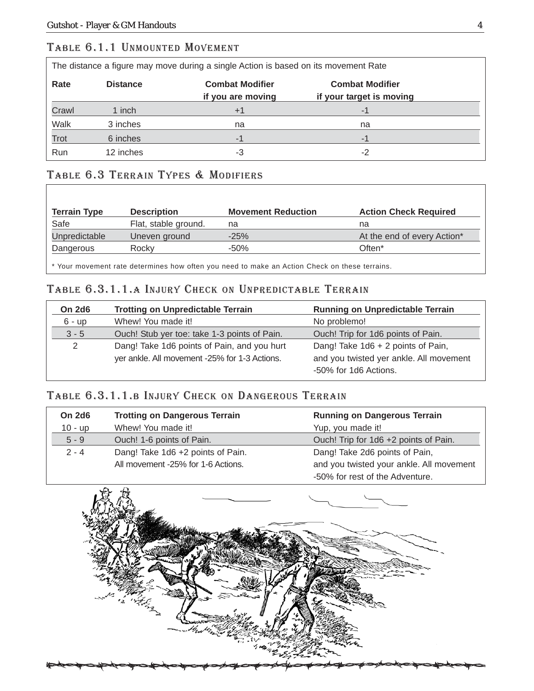#### TABLE 6.1.1 UNMOUNTED MOVEMENT

The distance a figure may move during a single Action is based on its movement Rate

| Rate  | <b>Distance</b> | <b>Combat Modifier</b><br>if you are moving | <b>Combat Modifier</b><br>if your target is moving |
|-------|-----------------|---------------------------------------------|----------------------------------------------------|
| Crawl | 1 inch          | $+1$                                        | -1                                                 |
| Walk  | 3 inches        | na                                          | na                                                 |
| Trot  | 6 inches        | $-1$                                        | $-1$                                               |
| Run   | 12 inches       | -3                                          | $-2$                                               |

#### TABLE 6.3 TERRAIN TYPES & MODIFIERS

| <b>Terrain Type</b> | <b>Description</b>   | <b>Movement Reduction</b> | <b>Action Check Required</b> |
|---------------------|----------------------|---------------------------|------------------------------|
| Safe                | Flat, stable ground. | na                        | na                           |
| Unpredictable       | Uneven ground        | $-25%$                    | At the end of every Action*  |
| Dangerous           | Rocky                | $-50\%$                   | Often <sup>*</sup>           |

\* Your movement rate determines how often you need to make an Action Check on these terrains.

#### TABLE 6.3.1.1.A INJURY CHECK ON UNPREDICTABLE TERRAIN

| <b>On 2d6</b>  | <b>Trotting on Unpredictable Terrain</b>                                                     | <b>Running on Unpredictable Terrain</b>                                                                |
|----------------|----------------------------------------------------------------------------------------------|--------------------------------------------------------------------------------------------------------|
| $6 - up$       | Whew! You made it!                                                                           | No problemo!                                                                                           |
| $3 - 5$        | Ouch! Stub yer toe: take 1-3 points of Pain.                                                 | Ouch! Trip for 1d6 points of Pain.                                                                     |
| $\overline{2}$ | Dang! Take 1d6 points of Pain, and you hurt<br>yer ankle. All movement -25% for 1-3 Actions. | Dang! Take 1d6 + 2 points of Pain,<br>and you twisted yer ankle. All movement<br>-50% for 1d6 Actions. |

#### TABLE 6.3.1.1.B INJURY CHECK ON DANGEROUS TERRAIN

| <b>On 2d6</b> | <b>Trotting on Dangerous Terrain</b> | <b>Running on Dangerous Terrain</b>      |
|---------------|--------------------------------------|------------------------------------------|
| $10 - up$     | Whew! You made it!                   | Yup, you made it!                        |
| $5 - 9$       | Ouch! 1-6 points of Pain.            | Ouch! Trip for 1d6 +2 points of Pain.    |
| $2 - 4$       | Dang! Take 1d6 +2 points of Pain.    | Dang! Take 2d6 points of Pain,           |
|               | All movement -25% for 1-6 Actions.   | and you twisted your ankle. All movement |
|               |                                      | -50% for rest of the Adventure.          |

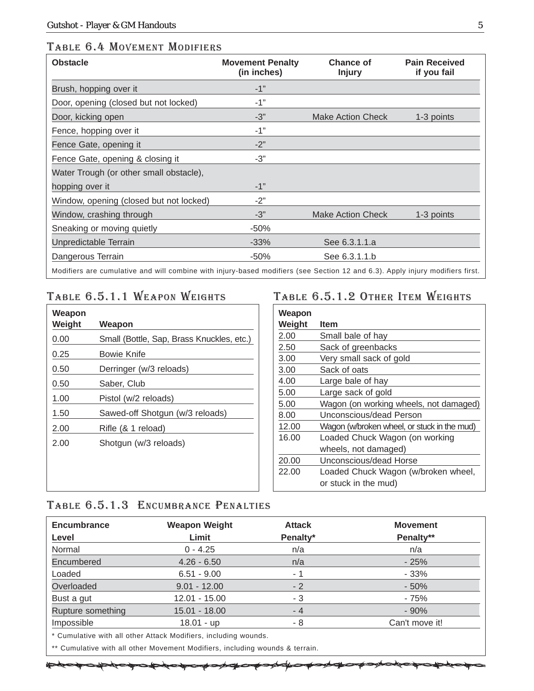#### TABLE 6.4 MOVEMENT MODIFIERS

| <b>Obstacle</b>                                                                                                               | <b>Movement Penalty</b><br>(in inches) | <b>Chance of</b><br><b>Injury</b> | <b>Pain Received</b><br>if you fail |
|-------------------------------------------------------------------------------------------------------------------------------|----------------------------------------|-----------------------------------|-------------------------------------|
| Brush, hopping over it                                                                                                        | $-1"$                                  |                                   |                                     |
| Door, opening (closed but not locked)                                                                                         | $-1"$                                  |                                   |                                     |
| Door, kicking open                                                                                                            | $-3"$                                  | <b>Make Action Check</b>          | 1-3 points                          |
| Fence, hopping over it                                                                                                        | $-1"$                                  |                                   |                                     |
| Fence Gate, opening it                                                                                                        | $-2"$                                  |                                   |                                     |
| Fence Gate, opening & closing it                                                                                              | $-3"$                                  |                                   |                                     |
| Water Trough (or other small obstacle),                                                                                       |                                        |                                   |                                     |
| hopping over it                                                                                                               | $-1"$                                  |                                   |                                     |
| Window, opening (closed but not locked)                                                                                       | $-2"$                                  |                                   |                                     |
| Window, crashing through                                                                                                      | $-3"$                                  | Make Action Check                 | 1-3 points                          |
| Sneaking or moving quietly                                                                                                    | $-50%$                                 |                                   |                                     |
| Unpredictable Terrain                                                                                                         | $-33%$                                 | See 6.3.1.1.a                     |                                     |
| Dangerous Terrain                                                                                                             | $-50%$                                 | See 6.3.1.1.b                     |                                     |
| Modifiers are cumulative and will combine with injury-based modifiers (see Section 12 and 6.3). Apply injury modifiers first. |                                        |                                   |                                     |

#### TABLE 6.5.1.1 WEAPON WEIGHTS

| Weapon<br>Weight | Weapon                                    |
|------------------|-------------------------------------------|
| 0.00             | Small (Bottle, Sap, Brass Knuckles, etc.) |
| 0.25             | Bowie Knife                               |
| 0.50             | Derringer (w/3 reloads)                   |
| 0.50             | Saber, Club                               |
| 1.00             | Pistol (w/2 reloads)                      |
| 1.50             | Sawed-off Shotgun (w/3 reloads)           |
| 2.00             | Rifle (& 1 reload)                        |
| 2.00             | Shotgun (w/3 reloads)                     |
|                  |                                           |
|                  |                                           |
|                  |                                           |

#### TABLE 6.5.1.2 OTHER ITEM WEIGHTS

| Weapon |                                             |
|--------|---------------------------------------------|
| Weight | <b>Item</b>                                 |
| 2.00   | Small bale of hay                           |
| 2.50   | Sack of greenbacks                          |
| 3.00   | Very small sack of gold                     |
| 3.00   | Sack of oats                                |
| 4.00   | Large bale of hay                           |
| 5.00   | Large sack of gold                          |
| 5.00   | Wagon (on working wheels, not damaged)      |
| 8.00   | Unconscious/dead Person                     |
| 12.00  | Wagon (w/broken wheel, or stuck in the mud) |
| 16.00  | Loaded Chuck Wagon (on working              |
|        | wheels, not damaged)                        |
| 20.00  | Unconscious/dead Horse                      |
| 22.00  | Loaded Chuck Wagon (w/broken wheel,         |
|        | or stuck in the mud)                        |

#### TABLE 6.5.1.3 ENCUMBRANCE PENALTIES

| <b>Encumbrance</b> | <b>Weapon Weight</b>                                                                                                                                                               | <b>Attack</b> | <b>Movement</b> |
|--------------------|------------------------------------------------------------------------------------------------------------------------------------------------------------------------------------|---------------|-----------------|
| Level              | Limit                                                                                                                                                                              | Penalty*      | Penalty**       |
| Normal             | $0 - 4.25$                                                                                                                                                                         | n/a           | n/a             |
| Encumbered         | $4.26 - 6.50$                                                                                                                                                                      | n/a           | $-25%$          |
| Loaded             | $6.51 - 9.00$                                                                                                                                                                      | - 1           | $-33%$          |
| Overloaded         | $9.01 - 12.00$                                                                                                                                                                     | $-2$          | $-50%$          |
| Bust a gut         | $12.01 - 15.00$                                                                                                                                                                    | - 3           | - 75%           |
| Rupture something  | $15.01 - 18.00$                                                                                                                                                                    | $-4$          | $-90%$          |
| Impossible         | $18.01 - up$                                                                                                                                                                       | - 8           | Can't move it!  |
|                    | $\star$ $\bullet$ $\bullet$ . The contract of the contract of $\bullet$ and contract of $\bullet$ and $\bullet$ is a contract of $\bullet$ in $\bullet$ is a contract of $\bullet$ |               |                 |

Cumulative with all other Attack Modifiers, including wounds.

\*\* Cumulative with all other Movement Modifiers, including wounds & terrain.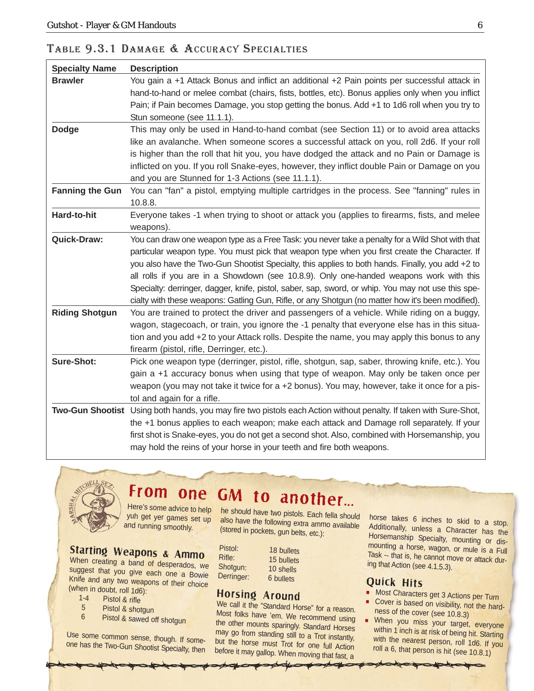| <b>Specialty Name</b>  | <b>Description</b>                                                                                                                                                                                      |
|------------------------|---------------------------------------------------------------------------------------------------------------------------------------------------------------------------------------------------------|
| <b>Brawler</b>         | You gain a +1 Attack Bonus and inflict an additional +2 Pain points per successful attack in                                                                                                            |
|                        | hand-to-hand or melee combat (chairs, fists, bottles, etc). Bonus applies only when you inflict                                                                                                         |
|                        | Pain; if Pain becomes Damage, you stop getting the bonus. Add +1 to 1d6 roll when you try to                                                                                                            |
|                        | Stun someone (see 11.1.1).                                                                                                                                                                              |
| <b>Dodge</b>           | This may only be used in Hand-to-hand combat (see Section 11) or to avoid area attacks                                                                                                                  |
|                        | like an avalanche. When someone scores a successful attack on you, roll 2d6. If your roll                                                                                                               |
|                        | is higher than the roll that hit you, you have dodged the attack and no Pain or Damage is                                                                                                               |
|                        | inflicted on you. If you roll Snake-eyes, however, they inflict double Pain or Damage on you                                                                                                            |
|                        | and you are Stunned for 1-3 Actions (see 11.1.1).                                                                                                                                                       |
| <b>Fanning the Gun</b> | You can "fan" a pistol, emptying multiple cartridges in the process. See "fanning" rules in                                                                                                             |
|                        | 10.8.8.                                                                                                                                                                                                 |
| Hard-to-hit            | Everyone takes -1 when trying to shoot or attack you (applies to firearms, fists, and melee                                                                                                             |
| Quick-Draw:            | weapons).                                                                                                                                                                                               |
|                        | You can draw one weapon type as a Free Task: you never take a penalty for a Wild Shot with that<br>particular weapon type. You must pick that weapon type when you first create the Character. If       |
|                        | you also have the Two-Gun Shootist Specialty, this applies to both hands. Finally, you add +2 to                                                                                                        |
|                        |                                                                                                                                                                                                         |
|                        | all rolls if you are in a Showdown (see 10.8.9). Only one-handed weapons work with this                                                                                                                 |
|                        | Specialty: derringer, dagger, knife, pistol, saber, sap, sword, or whip. You may not use this spe-<br>cialty with these weapons: Gatling Gun, Rifle, or any Shotgun (no matter how it's been modified). |
| <b>Riding Shotgun</b>  | You are trained to protect the driver and passengers of a vehicle. While riding on a buggy,                                                                                                             |
|                        | wagon, stagecoach, or train, you ignore the -1 penalty that everyone else has in this situa-                                                                                                            |
|                        | tion and you add +2 to your Attack rolls. Despite the name, you may apply this bonus to any                                                                                                             |
|                        | firearm (pistol, rifle, Derringer, etc.).                                                                                                                                                               |
| Sure-Shot:             | Pick one weapon type (derringer, pistol, rifle, shotgun, sap, saber, throwing knife, etc.). You                                                                                                         |
|                        | gain a +1 accuracy bonus when using that type of weapon. May only be taken once per                                                                                                                     |
|                        | weapon (you may not take it twice for a +2 bonus). You may, however, take it once for a pis-                                                                                                            |
|                        | tol and again for a rifle.                                                                                                                                                                              |
|                        | Two-Gun Shootist Using both hands, you may fire two pistols each Action without penalty. If taken with Sure-Shot,                                                                                       |
|                        | the +1 bonus applies to each weapon; make each attack and Damage roll separately. If your                                                                                                               |
|                        | first shot is Snake-eyes, you do not get a second shot. Also, combined with Horsemanship, you                                                                                                           |
|                        | may hold the reins of your horse in your teeth and fire both weapons.                                                                                                                                   |

#### TABLE 9.3.1 DAMAGE & ACCURACY SPECIALTIES



#### Here's some advice to help From one GM to another...

yuh get yer games set up and running smoothly.

#### Starting Weapons & Ammo

When creating a band of desperados, we suggest that you give each one a Bowie Knife and any two weapons of their choice (when in doubt, roll  $1d6$ ):<br> $1-4$  Pistol & rifle

- $1-4$  Pistol & rifle<br>5 Pistol & shot
- 5 Pistol & shotgun<br>6 Pistol & sawed of
- Pistol & sawed off shotgun

Use some common sense, though. If someone has the Two-Gun Shootist Specialty, then

he should have two pistols. Each fella should also have the following extra ammo available (stored in pockets, gun belts, etc.):

bullets

**bullets** 

| Pistol:    | 18 bullets |
|------------|------------|
| Rifle:     | 15 bullets |
| Shotgun:   | 10 shells  |
| Derringer: | 6 bullets  |

#### Horsing Around

We call it the "Standard Horse" for a reason. Most folks have 'em. We recommend using the other mounts sparingly. Standard Horses may go from standing still to a Trot instantly, but the horse must Trot for one full Action before it may gallop. When moving that fast, a

horse takes 6 inches to skid to a stop. Additionally, unless a Character has the Horsemanship Specialty, mounting or dismounting a horse, wagon, or mule is a Full Task -- that is, he cannot move or attack during that Action (see 4.1.5.3).

#### Quick Hits

- **Most Characters get 3 Actions per Turn**
- ٠ Cover is based on visibility, not the hardness of the cover (see 10.8.3)
- ×. When you miss your target, everyone within 1 inch is at risk of being hit. Starting with the nearest person, roll 1d6. If you roll a 6, that person is hit (see 10.8.1)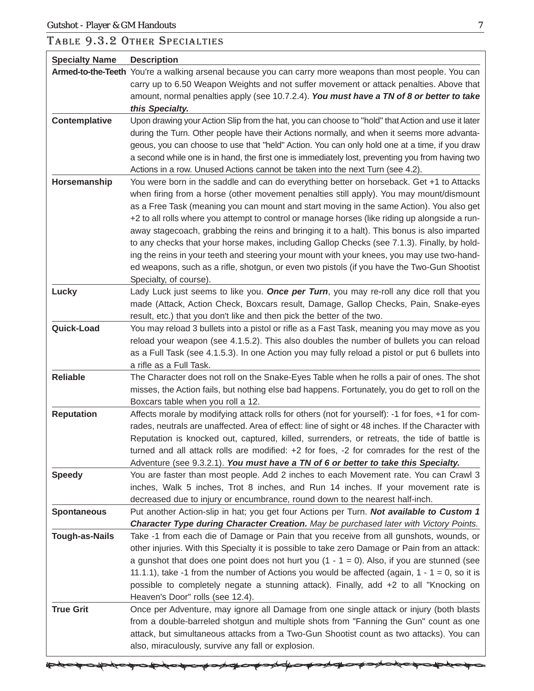حكم

⋙

</u>

#### TABLE 9.3.2 OTHER SPECIALTIES

| <b>Specialty Name</b> | <b>Description</b>                                                                                                                                                                                                                                                                                                                                                                                                                                                                                                                                                                                                                                                                                                                                                                                     |
|-----------------------|--------------------------------------------------------------------------------------------------------------------------------------------------------------------------------------------------------------------------------------------------------------------------------------------------------------------------------------------------------------------------------------------------------------------------------------------------------------------------------------------------------------------------------------------------------------------------------------------------------------------------------------------------------------------------------------------------------------------------------------------------------------------------------------------------------|
|                       | Armed-to-the-Teeth You're a walking arsenal because you can carry more weapons than most people. You can<br>carry up to 6.50 Weapon Weights and not suffer movement or attack penalties. Above that<br>amount, normal penalties apply (see 10.7.2.4). You must have a TN of 8 or better to take<br>this Specialty.                                                                                                                                                                                                                                                                                                                                                                                                                                                                                     |
| Contemplative         | Upon drawing your Action Slip from the hat, you can choose to "hold" that Action and use it later<br>during the Turn. Other people have their Actions normally, and when it seems more advanta-<br>geous, you can choose to use that "held" Action. You can only hold one at a time, if you draw<br>a second while one is in hand, the first one is immediately lost, preventing you from having two<br>Actions in a row. Unused Actions cannot be taken into the next Turn (see 4.2).                                                                                                                                                                                                                                                                                                                 |
| Horsemanship          | You were born in the saddle and can do everything better on horseback. Get +1 to Attacks<br>when firing from a horse (other movement penalties still apply). You may mount/dismount<br>as a Free Task (meaning you can mount and start moving in the same Action). You also get<br>+2 to all rolls where you attempt to control or manage horses (like riding up alongside a run-<br>away stagecoach, grabbing the reins and bringing it to a halt). This bonus is also imparted<br>to any checks that your horse makes, including Gallop Checks (see 7.1.3). Finally, by hold-<br>ing the reins in your teeth and steering your mount with your knees, you may use two-hand-<br>ed weapons, such as a rifle, shotgun, or even two pistols (if you have the Two-Gun Shootist<br>Specialty, of course). |
| Lucky                 | Lady Luck just seems to like you. Once per Turn, you may re-roll any dice roll that you<br>made (Attack, Action Check, Boxcars result, Damage, Gallop Checks, Pain, Snake-eyes<br>result, etc.) that you don't like and then pick the better of the two.                                                                                                                                                                                                                                                                                                                                                                                                                                                                                                                                               |
| Quick-Load            | You may reload 3 bullets into a pistol or rifle as a Fast Task, meaning you may move as you<br>reload your weapon (see 4.1.5.2). This also doubles the number of bullets you can reload<br>as a Full Task (see 4.1.5.3). In one Action you may fully reload a pistol or put 6 bullets into<br>a rifle as a Full Task.                                                                                                                                                                                                                                                                                                                                                                                                                                                                                  |
| <b>Reliable</b>       | The Character does not roll on the Snake-Eyes Table when he rolls a pair of ones. The shot<br>misses, the Action fails, but nothing else bad happens. Fortunately, you do get to roll on the<br>Boxcars table when you roll a 12.                                                                                                                                                                                                                                                                                                                                                                                                                                                                                                                                                                      |
| <b>Reputation</b>     | Affects morale by modifying attack rolls for others (not for yourself): -1 for foes, +1 for com-<br>rades, neutrals are unaffected. Area of effect: line of sight or 48 inches. If the Character with<br>Reputation is knocked out, captured, killed, surrenders, or retreats, the tide of battle is<br>turned and all attack rolls are modified: $+2$ for foes, $-2$ for comrades for the rest of the<br>Adventure (see 9.3.2.1). You must have a TN of 6 or better to take this Specialty.                                                                                                                                                                                                                                                                                                           |
| <b>Speedy</b>         | You are faster than most people. Add 2 inches to each Movement rate. You can Crawl 3<br>inches, Walk 5 inches, Trot 8 inches, and Run 14 inches. If your movement rate is<br>decreased due to injury or encumbrance, round down to the nearest half-inch.                                                                                                                                                                                                                                                                                                                                                                                                                                                                                                                                              |
| <b>Spontaneous</b>    | Put another Action-slip in hat; you get four Actions per Turn. Not available to Custom 1<br>Character Type during Character Creation. May be purchased later with Victory Points.                                                                                                                                                                                                                                                                                                                                                                                                                                                                                                                                                                                                                      |
| <b>Tough-as-Nails</b> | Take -1 from each die of Damage or Pain that you receive from all gunshots, wounds, or<br>other injuries. With this Specialty it is possible to take zero Damage or Pain from an attack:<br>a gunshot that does one point does not hurt you $(1 - 1 = 0)$ . Also, if you are stunned (see<br>11.1.1), take -1 from the number of Actions you would be affected (again, $1 - 1 = 0$ , so it is<br>possible to completely negate a stunning attack). Finally, add +2 to all "Knocking on<br>Heaven's Door" rolls (see 12.4).                                                                                                                                                                                                                                                                             |
| <b>True Grit</b>      | Once per Adventure, may ignore all Damage from one single attack or injury (both blasts<br>from a double-barreled shotgun and multiple shots from "Fanning the Gun" count as one<br>attack, but simultaneous attacks from a Two-Gun Shootist count as two attacks). You can<br>also, miraculously, survive any fall or explosion.                                                                                                                                                                                                                                                                                                                                                                                                                                                                      |

≇

কা∕

₩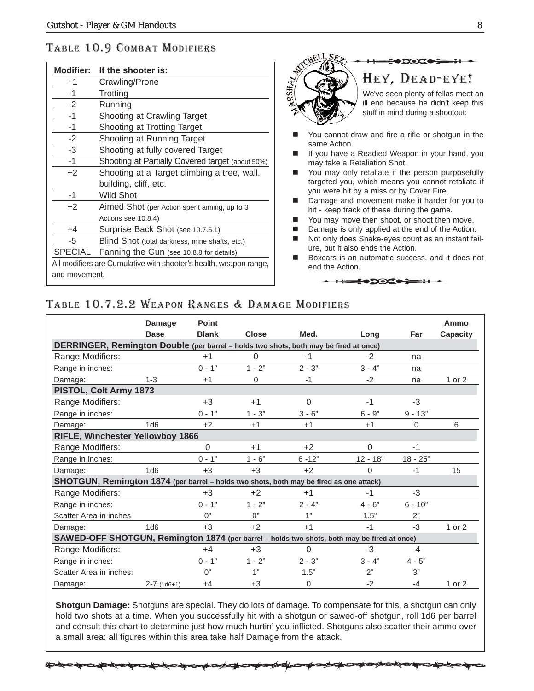#### TABLE 10.9 COMBAT MODIFIERS

| <b>Modifier:</b>                                                  | If the shooter is:                               |  |  |  |
|-------------------------------------------------------------------|--------------------------------------------------|--|--|--|
| $+1$                                                              | Crawling/Prone                                   |  |  |  |
| -1                                                                | Trotting                                         |  |  |  |
| $-2$                                                              | Running                                          |  |  |  |
| -1                                                                | Shooting at Crawling Target                      |  |  |  |
| -1                                                                | Shooting at Trotting Target                      |  |  |  |
| $-2$                                                              | Shooting at Running Target                       |  |  |  |
| -3                                                                | Shooting at fully covered Target                 |  |  |  |
| -1                                                                | Shooting at Partially Covered target (about 50%) |  |  |  |
| $+2$                                                              | Shooting at a Target climbing a tree, wall,      |  |  |  |
|                                                                   | building, cliff, etc.                            |  |  |  |
| -1                                                                | Wild Shot                                        |  |  |  |
| $+2$                                                              | Aimed Shot (per Action spent aiming, up to 3     |  |  |  |
|                                                                   | Actions see 10.8.4)                              |  |  |  |
| +4                                                                | Surprise Back Shot (see 10.7.5.1)                |  |  |  |
| -5                                                                | Blind Shot (total darkness, mine shafts, etc.)   |  |  |  |
| <b>SPECIAL</b>                                                    | Fanning the Gun (see 10.8.8 for details)         |  |  |  |
| All modifiers are Cumulative with shooter's health, weapon range, |                                                  |  |  |  |
|                                                                   | and movement.                                    |  |  |  |

**DOCC** HEY, DEAD-EYE!

RSHA<sub>I</sub>

We've seen plenty of fellas meet an ill end because he didn't keep this stuff in mind during a shootout:

- You cannot draw and fire a rifle or shotgun in the same Action.
- If you have a Readied Weapon in your hand, you may take a Retaliation Shot.
- You may only retaliate if the person purposefully targeted you, which means you cannot retaliate if you were hit by a miss or by Cover Fire.
- Damage and movement make it harder for you to hit - keep track of these during the game.
- You may move then shoot, or shoot then move.
- Damage is only applied at the end of the Action.
- Not only does Snake-eyes count as an instant failure, but it also ends the Action.
- Boxcars is an automatic success, and it does not end the Action.

**HEROCO DE HISTORIA AND STATE OF STATE OF STATE OF STATE OF STATE OF STATE** 

#### TABLE 10.7.2.2 WEAPON RANGES & DAMAGE MODIFIERS

|                                                                                             | Damage          | <b>Point</b> |              |           |            |            | Ammo     |
|---------------------------------------------------------------------------------------------|-----------------|--------------|--------------|-----------|------------|------------|----------|
|                                                                                             | <b>Base</b>     | <b>Blank</b> | <b>Close</b> | Med.      | Lona       | Far        | Capacity |
| DERRINGER, Remington Double (per barrel - holds two shots, both may be fired at once)       |                 |              |              |           |            |            |          |
| Range Modifiers:                                                                            |                 | $+1$         | 0            | $-1$      | $-2$       | na         |          |
| Range in inches:                                                                            |                 | $0 - 1"$     | $1 - 2"$     | $2 - 3"$  | $3 - 4"$   | na         |          |
| Damage:                                                                                     | $1 - 3$         | $+1$         | $\Omega$     | $-1$      | $-2$       | na         | 1 or 2   |
| PISTOL, Colt Army 1873                                                                      |                 |              |              |           |            |            |          |
| Range Modifiers:                                                                            |                 | $+3$         | $+1$         | 0         | $-1$       | $-3$       |          |
| Range in inches:                                                                            |                 | $0 - 1"$     | $1 - 3"$     | $3 - 6"$  | $6 - 9"$   | $9 - 13"$  |          |
| Damage:                                                                                     | 1 <sub>d6</sub> | $+2$         | $+1$         | $+1$      | $+1$       | $\Omega$   | 6        |
| RIFLE, Winchester Yellowboy 1866                                                            |                 |              |              |           |            |            |          |
| Range Modifiers:                                                                            |                 | $\Omega$     | $+1$         | $+2$      | $\Omega$   | $-1$       |          |
| Range in inches:                                                                            |                 | $0 - 1"$     | $1 - 6"$     | $6 - 12"$ | $12 - 18"$ | $18 - 25"$ |          |
| Damage:                                                                                     | 1 <sub>d6</sub> | $+3$         | $+3$         | $+2$      | 0          | -1         | 15       |
| SHOTGUN, Remington 1874 (per barrel - holds two shots, both may be fired as one attack)     |                 |              |              |           |            |            |          |
| Range Modifiers:                                                                            |                 | $+3$         | $+2$         | $+1$      | $-1$       | $-3$       |          |
| Range in inches:                                                                            |                 | $0 - 1"$     | $1 - 2"$     | $2 - 4"$  | $4 - 6"$   | $6 - 10"$  |          |
| Scatter Area in inches                                                                      |                 | O''          | O''          | 1"        | 1.5"       | 2"         |          |
| Damage:                                                                                     | 1d6             | $+3$         | $+2$         | $+1$      | $-1$       | $-3$       | 1 or 2   |
| SAWED-OFF SHOTGUN, Remington 1874 (per barrel - holds two shots, both may be fired at once) |                 |              |              |           |            |            |          |
| Range Modifiers:                                                                            |                 | $+4$         | $+3$         | 0         | $-3$       | -4         |          |
| Range in inches:                                                                            |                 | $0 - 1"$     | $1 - 2"$     | $2 - 3"$  | $3 - 4"$   | $4 - 5"$   |          |
| Scatter Area in inches:                                                                     |                 | O''          | 1"           | 1.5"      | 2"         | 3"         |          |
| Damage:                                                                                     | $2-7$ (1d6+1)   | $+4$         | $+3$         | 0         | $-2$       | $-4$       | 1 or 2   |

**Shotgun Damage:** Shotguns are special. They do lots of damage. To compensate for this, a shotgun can only hold two shots at a time. When you successfully hit with a shotgun or sawed-off shotgun, roll 1d6 per barrel and consult this chart to determine just how much hurtin' you inflicted. Shotguns also scatter their ammo over a small area: all figures within this area take half Damage from the attack.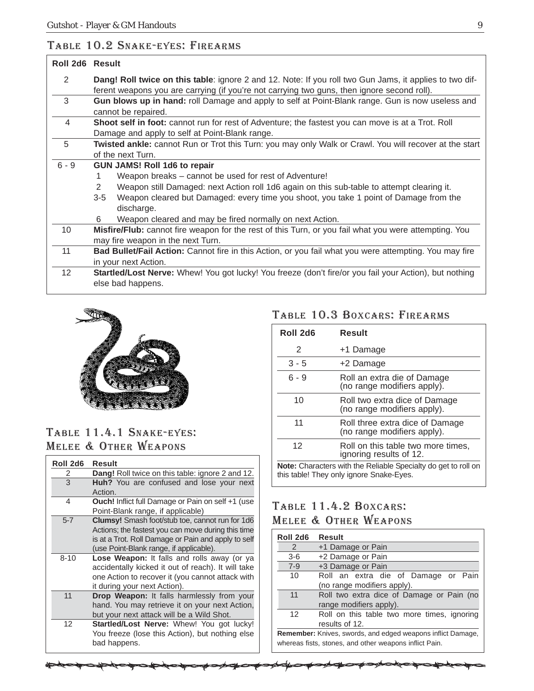#### TABLE 10.2 SNAKE-EYES: FIREARMS

| Roll 2d6 Result |                                                                                                                                                                                                        |  |  |
|-----------------|--------------------------------------------------------------------------------------------------------------------------------------------------------------------------------------------------------|--|--|
| 2               | Dang! Roll twice on this table: ignore 2 and 12. Note: If you roll two Gun Jams, it applies to two dif-<br>ferent weapons you are carrying (if you're not carrying two guns, then ignore second roll). |  |  |
| 3               | <b>Gun blows up in hand:</b> roll Damage and apply to self at Point-Blank range. Gun is now useless and<br>cannot be repaired.                                                                         |  |  |
| 4               | Shoot self in foot: cannot run for rest of Adventure; the fastest you can move is at a Trot. Roll<br>Damage and apply to self at Point-Blank range.                                                    |  |  |
| 5               | Twisted ankle: cannot Run or Trot this Turn: you may only Walk or Crawl. You will recover at the start<br>of the next Turn.                                                                            |  |  |
| $6 - 9$         | <b>GUN JAMS! Roll 1d6 to repair</b>                                                                                                                                                                    |  |  |
|                 | Weapon breaks – cannot be used for rest of Adventure!                                                                                                                                                  |  |  |
|                 | Weapon still Damaged: next Action roll 1d6 again on this sub-table to attempt clearing it.<br>2                                                                                                        |  |  |
|                 | Weapon cleared but Damaged: every time you shoot, you take 1 point of Damage from the<br>3-5                                                                                                           |  |  |
|                 | discharge.                                                                                                                                                                                             |  |  |
|                 | Weapon cleared and may be fired normally on next Action.<br>6                                                                                                                                          |  |  |
| 10              | Misfire/Flub: cannot fire weapon for the rest of this Turn, or you fail what you were attempting. You                                                                                                  |  |  |
|                 | may fire weapon in the next Turn.                                                                                                                                                                      |  |  |
| 11              | Bad Bullet/Fail Action: Cannot fire in this Action, or you fail what you were attempting. You may fire                                                                                                 |  |  |
|                 | in your next Action.                                                                                                                                                                                   |  |  |
| 12 <sup>2</sup> | Startled/Lost Nerve: Whew! You got lucky! You freeze (don't fire/or you fail your Action), but nothing<br>else bad happens.                                                                            |  |  |



#### TABLE 11.4.1 SNAKE-EYES: MELEE & OTHER WEAPONS

| Roll 2d6 | Result                                                   |
|----------|----------------------------------------------------------|
| 2        | <b>Dang!</b> Roll twice on this table: ignore 2 and 12.  |
| 3        | Huh? You are confused and lose your next                 |
|          | Action.                                                  |
| 4        | <b>Ouch!</b> Inflict full Damage or Pain on self +1 (use |
|          | Point-Blank range, if applicable)                        |
| $5 - 7$  | Clumsy! Smash foot/stub toe, cannot run for 1d6          |
|          | Actions; the fastest you can move during this time       |
|          | is at a Trot. Roll Damage or Pain and apply to self      |
|          | (use Point-Blank range, if applicable).                  |
| $8 - 10$ | Lose Weapon: It falls and rolls away (or ya              |
|          | accidentally kicked it out of reach). It will take       |
|          | one Action to recover it (you cannot attack with         |
|          | it during your next Action).                             |
| 11       | Drop Weapon: It falls harmlessly from your               |
|          | hand. You may retrieve it on your next Action,           |
|          | but your next attack will be a Wild Shot.                |
| 12       | Startled/Lost Nerve: Whew! You got lucky!                |
|          | You freeze (lose this Action), but nothing else          |
|          | bad happens.                                             |

#### TABLE 10.3 BOXCARS: FIREARMS

| Roll 2d6                                                                                                   | Result                                                         |  |  |
|------------------------------------------------------------------------------------------------------------|----------------------------------------------------------------|--|--|
| 2                                                                                                          | +1 Damage                                                      |  |  |
| $3 - 5$                                                                                                    | +2 Damage                                                      |  |  |
| $6 - 9$                                                                                                    | Roll an extra die of Damage<br>(no range modifiers apply).     |  |  |
| 10                                                                                                         | Roll two extra dice of Damage<br>(no range modifiers apply).   |  |  |
| 11                                                                                                         | Roll three extra dice of Damage<br>(no range modifiers apply). |  |  |
| 12                                                                                                         | Roll on this table two more times,<br>ignoring results of 12.  |  |  |
| Note: Characters with the Reliable Specialty do get to roll on<br>this table! They only ignore Snake-Eyes. |                                                                |  |  |

#### TABLE 11.4.2 BOXCARS: MELEE & OTHER WEAPONS

| Roll 2d6      | Result                                                             |
|---------------|--------------------------------------------------------------------|
| $\mathcal{P}$ | +1 Damage or Pain                                                  |
| $3-6$         | +2 Damage or Pain                                                  |
| $7-9$         | +3 Damage or Pain                                                  |
| 10            | Roll an extra die of Damage or Pain                                |
|               | (no range modifiers apply).                                        |
| 11            | Roll two extra dice of Damage or Pain (no                          |
|               | range modifiers apply).                                            |
| 12            | Roll on this table two more times, ignoring                        |
|               | results of 12.                                                     |
|               | <b>Remember:</b> Knives, swords, and edged weapons inflict Damage, |
|               | whereas fists, stones, and other weapons inflict Pain.             |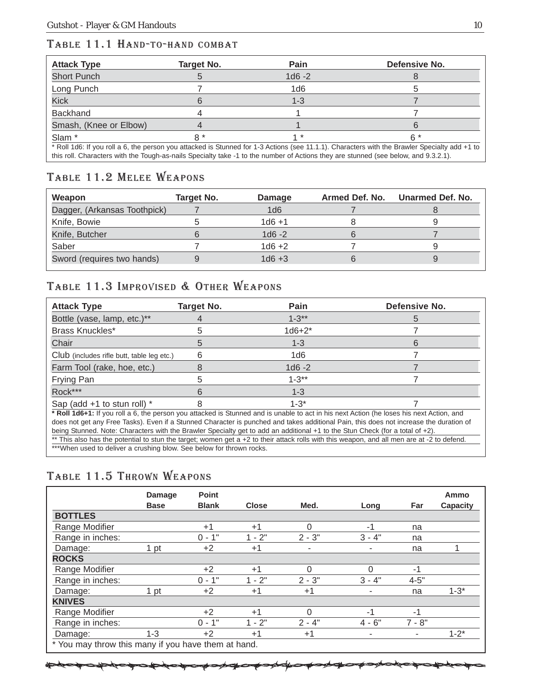#### TABLE 11.1 HAND-TO-HAND COMBAT

| <b>Attack Type</b>     | Target No. | Pain      | Defensive No.                                                                                                                                 |
|------------------------|------------|-----------|-----------------------------------------------------------------------------------------------------------------------------------------------|
| <b>Short Punch</b>     |            | $1d6 - 2$ |                                                                                                                                               |
| Long Punch             |            | 1d6       |                                                                                                                                               |
| <b>Kick</b>            |            | $1 - 3$   |                                                                                                                                               |
| <b>Backhand</b>        |            |           |                                                                                                                                               |
| Smash, (Knee or Elbow) |            |           |                                                                                                                                               |
| Slam <sup>*</sup>      | R *        |           | ና *                                                                                                                                           |
|                        |            |           | * Roll 1d6: If you roll a 6, the person you attacked is Stunned for 1-3 Actions (see 11.1.1). Characters with the Brawler Specialty add +1 to |

this roll. Characters with the Tough-as-nails Specialty take -1 to the number of Actions they are stunned (see below, and 9.3.2.1).

#### TABLE 11.2 MELEE WEAPONS

| Weapon                       | Target No. | <b>Damage</b>   | Armed Def. No. | Unarmed Def. No. |
|------------------------------|------------|-----------------|----------------|------------------|
| Dagger, (Arkansas Toothpick) |            | 1 <sub>d6</sub> |                |                  |
| Knife, Bowie                 |            | $1d6 + 1$       |                |                  |
| Knife, Butcher               |            | $1d6 - 2$       |                |                  |
| Saber                        |            | $1d6 + 2$       |                |                  |
| Sword (requires two hands)   |            | $1d6 + 3$       |                |                  |

#### TABLE 11.3 IMPROVISED & OTHER WEAPONS

| <b>Attack Type</b>                                                                                                                                                                                                                                                                 | Target No. | Pain      | Defensive No. |  |
|------------------------------------------------------------------------------------------------------------------------------------------------------------------------------------------------------------------------------------------------------------------------------------|------------|-----------|---------------|--|
| Bottle (vase, lamp, etc.)**                                                                                                                                                                                                                                                        |            | $1 - 3**$ |               |  |
| Brass Knuckles*                                                                                                                                                                                                                                                                    |            | $1d6+2^*$ |               |  |
| Chair                                                                                                                                                                                                                                                                              |            | $1 - 3$   |               |  |
| Club (includes rifle butt, table leg etc.)                                                                                                                                                                                                                                         |            | 1d6       |               |  |
| Farm Tool (rake, hoe, etc.)                                                                                                                                                                                                                                                        |            | $1d6 - 2$ |               |  |
| Frying Pan                                                                                                                                                                                                                                                                         |            | $1 - 3**$ |               |  |
| Rock***                                                                                                                                                                                                                                                                            |            | $1 - 3$   |               |  |
| Sap (add $+1$ to stun roll) $*$                                                                                                                                                                                                                                                    |            | $1 - 3^*$ |               |  |
| * Roll 1d6+1: If you roll a 6, the person you attacked is Stunned and is unable to act in his next Action (he loses his next Action, and<br>does not get any Free Tasks). Even if a Stunned Character is punched and takes additional Pain, this does not increase the duration of |            |           |               |  |

being Stunned. Note: Characters with the Brawler Specialty get to add an additional +1 to the Stun Check (for a total of +2). \*\* This also has the potential to stun the target; women get a +2 to their attack rolls with this weapon, and all men are at -2 to defend. \*\*\*When used to deliver a crushing blow. See below for thrown rocks.

#### TABLE 11.5 THROWN WEAPONS

|                                                     | <b>Damage</b><br><b>Base</b> | <b>Point</b><br><b>Blank</b> | <b>Close</b> | Med.     | Long     | Far      | Ammo<br>Capacity |
|-----------------------------------------------------|------------------------------|------------------------------|--------------|----------|----------|----------|------------------|
| <b>BOTTLES</b>                                      |                              |                              |              |          |          |          |                  |
| Range Modifier                                      |                              | $+1$                         | $+1$         | 0        | -1       | na       |                  |
| Range in inches:                                    |                              | $0 - 1"$                     | $1 - 2"$     | $2 - 3"$ | $3 - 4"$ | na       |                  |
| Damage:                                             | 1 pt                         | $+2$                         | $+1$         | ۰        | ۰        | na       |                  |
| <b>ROCKS</b>                                        |                              |                              |              |          |          |          |                  |
| Range Modifier                                      |                              | $+2$                         | $+1$         | 0        | ∩        | $-1$     |                  |
| Range in inches:                                    |                              | $0 - 1"$                     | $1 - 2"$     | $2 - 3"$ | $3 - 4"$ | $4 - 5"$ |                  |
| Damage:                                             | 1 pt                         | $+2$                         | $+1$         | $+1$     | ۰        | na       | $1 - 3^*$        |
| <b>KNIVES</b>                                       |                              |                              |              |          |          |          |                  |
| Range Modifier                                      |                              | $+2$                         | $+1$         | $\Omega$ | $-1$     | $-1$     |                  |
| Range in inches:                                    |                              | $0 - 1"$                     | $1 - 2"$     | $2 - 4"$ | $4 - 6"$ | $7 - 8"$ |                  |
| Damage:                                             | 1-3                          | $+2$                         | $+1$         | $+1$     | ۰        | ٠        | $1 - 2^*$        |
| * You may throw this many if you have them at hand. |                              |                              |              |          |          |          |                  |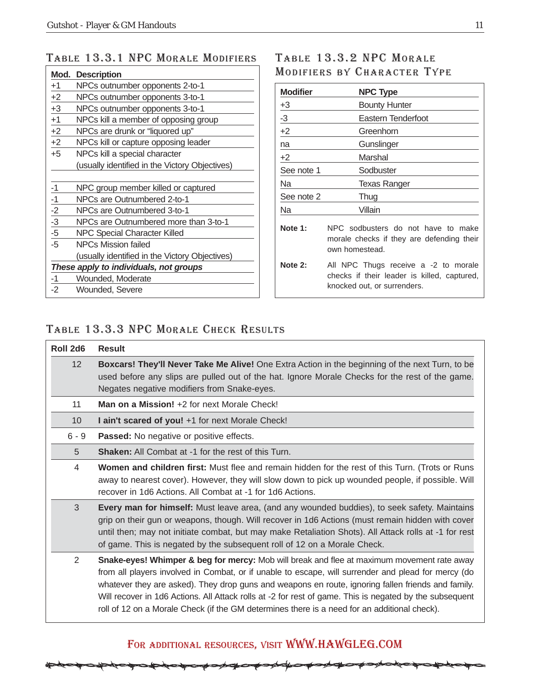#### TABLE 13.3.1 NPC MORALE MODIFIERS TABLE 13.3.2 NPC MORALE

| Mod.                                   | <b>Description</b>                             |  |  |
|----------------------------------------|------------------------------------------------|--|--|
| $+1$                                   | NPCs outnumber opponents 2-to-1                |  |  |
| $+2$                                   | NPCs outnumber opponents 3-to-1                |  |  |
| $+3$                                   | NPCs outnumber opponents 3-to-1                |  |  |
| $+1$                                   | NPCs kill a member of opposing group           |  |  |
| $+2$                                   | NPCs are drunk or "liquored up"                |  |  |
| $+2$                                   | NPCs kill or capture opposing leader           |  |  |
| $+5$                                   | NPCs kill a special character                  |  |  |
|                                        | (usually identified in the Victory Objectives) |  |  |
|                                        |                                                |  |  |
| $-1$                                   | NPC group member killed or captured            |  |  |
| $-1$                                   | NPCs are Outnumbered 2-to-1                    |  |  |
| $\frac{-2}{-3}$<br>$\frac{-3}{-5}$     | NPCs are Outnumbered 3-to-1                    |  |  |
|                                        | NPCs are Outnumbered more than 3-to-1          |  |  |
|                                        | <b>NPC Special Character Killed</b>            |  |  |
| $-5$                                   | NPCs Mission failed                            |  |  |
|                                        | (usually identified in the Victory Objectives) |  |  |
| These apply to individuals, not groups |                                                |  |  |
| -1                                     | Wounded, Moderate                              |  |  |
| -2                                     | Wounded, Severe                                |  |  |

# MODIFIERS BY CHARACTER TYPE

| <b>Modifier</b> | <b>NPC Type</b>                                                                                                    |
|-----------------|--------------------------------------------------------------------------------------------------------------------|
| +3              | <b>Bounty Hunter</b>                                                                                               |
| $-3$            | Eastern Tenderfoot                                                                                                 |
| $+2$            | Greenhorn                                                                                                          |
| na              | Gunslinger                                                                                                         |
| +2              | Marshal                                                                                                            |
| See note 1      | Sodbuster                                                                                                          |
| Na              | <b>Texas Ranger</b>                                                                                                |
| See note 2      | Thug                                                                                                               |
| Na              | Villain                                                                                                            |
| Note 1:         | NPC sodbusters do not have to make<br>morale checks if they are defending their<br>own homestead.                  |
| Note $2:$       | All NPC Thugs receive a -2 to morale<br>checks if their leader is killed, captured,<br>knocked out, or surrenders. |

#### TABLE 13.3.3 NPC MORALE CHECK RESULTS

| Roll 2d6        | <b>Result</b>                                                                                                                                                                                                                                                                                                                                                                                                                                                                                                      |
|-----------------|--------------------------------------------------------------------------------------------------------------------------------------------------------------------------------------------------------------------------------------------------------------------------------------------------------------------------------------------------------------------------------------------------------------------------------------------------------------------------------------------------------------------|
| 12 <sup>2</sup> | Boxcars! They'll Never Take Me Alive! One Extra Action in the beginning of the next Turn, to be<br>used before any slips are pulled out of the hat. Ignore Morale Checks for the rest of the game.<br>Negates negative modifiers from Snake-eyes.                                                                                                                                                                                                                                                                  |
| 11              | Man on a Mission! +2 for next Morale Check!                                                                                                                                                                                                                                                                                                                                                                                                                                                                        |
| 10              | I ain't scared of you! +1 for next Morale Check!                                                                                                                                                                                                                                                                                                                                                                                                                                                                   |
| $6 - 9$         | <b>Passed:</b> No negative or positive effects.                                                                                                                                                                                                                                                                                                                                                                                                                                                                    |
| 5               | <b>Shaken:</b> All Combat at -1 for the rest of this Turn.                                                                                                                                                                                                                                                                                                                                                                                                                                                         |
| 4               | Women and children first: Must flee and remain hidden for the rest of this Turn. (Trots or Runs<br>away to nearest cover). However, they will slow down to pick up wounded people, if possible. Will<br>recover in 1d6 Actions. All Combat at -1 for 1d6 Actions.                                                                                                                                                                                                                                                  |
| 3               | Every man for himself: Must leave area, (and any wounded buddies), to seek safety. Maintains<br>grip on their gun or weapons, though. Will recover in 1d6 Actions (must remain hidden with cover<br>until then; may not initiate combat, but may make Retaliation Shots). All Attack rolls at -1 for rest<br>of game. This is negated by the subsequent roll of 12 on a Morale Check.                                                                                                                              |
| 2               | Snake-eyes! Whimper & beg for mercy: Mob will break and flee at maximum movement rate away<br>from all players involved in Combat, or if unable to escape, will surrender and plead for mercy (do<br>whatever they are asked). They drop guns and weapons en route, ignoring fallen friends and family.<br>Will recover in 1d6 Actions. All Attack rolls at -2 for rest of game. This is negated by the subsequent<br>roll of 12 on a Morale Check (if the GM determines there is a need for an additional check). |

#### FOR ADDITIONAL RESOURCES, VISIT WWW.HAWGLEG.COM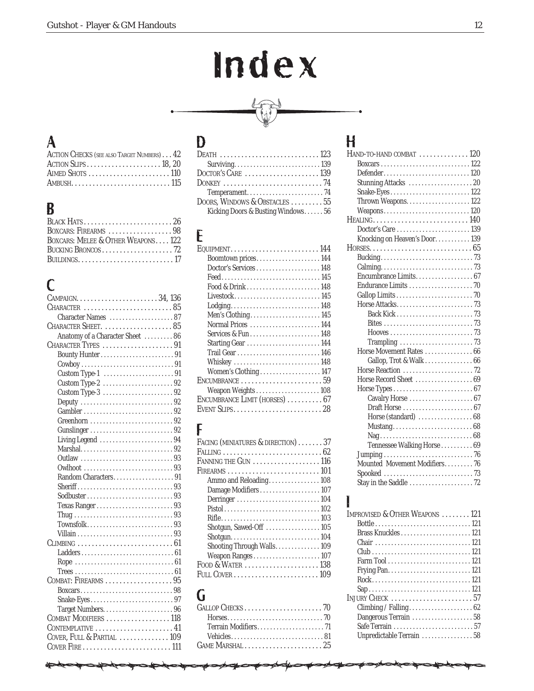# Index



#### A

| ACTION CHECKS (SEE ALSO TARGET NUMBERS) 42                        |  |
|-------------------------------------------------------------------|--|
| ACTION SLIPS $\dots \dots \dots \dots \dots \dots \dots 18, 20$   |  |
| AIMED SHOTS $\dots \dots \dots \dots \dots \dots \dots \dots 110$ |  |
|                                                                   |  |

#### B

| BOXCARS: FIREARMS 98               |
|------------------------------------|
| BOXCARS: MELEE & OTHER WEAPONS 122 |
|                                    |
|                                    |

#### C

| Character Names 87                                                         |
|----------------------------------------------------------------------------|
| CHARACTER SHEET. $\ldots \ldots \ldots \ldots \ldots \ldots 85$            |
| Anatomy of a Character Sheet  86                                           |
| CHARACTER TYPES 91                                                         |
|                                                                            |
|                                                                            |
|                                                                            |
| Custom Type-2 92                                                           |
| Custom Type-3 92                                                           |
| Deputy $\ldots \ldots \ldots \ldots \ldots \ldots \ldots \ldots \ldots 92$ |
|                                                                            |
| Greenhorn 92                                                               |
|                                                                            |
| Living Legend 94                                                           |
|                                                                            |
| Outlaw 93                                                                  |
|                                                                            |
| Random Characters91                                                        |
|                                                                            |
|                                                                            |
|                                                                            |
|                                                                            |
|                                                                            |
|                                                                            |
|                                                                            |
|                                                                            |
|                                                                            |
|                                                                            |
| COMBAT: FIREARMS $\ldots \ldots \ldots \ldots \ldots \ldots 95$            |
|                                                                            |
|                                                                            |
|                                                                            |
| COMBAT MODIFIERS  118                                                      |
| $\text{CONTEMPLATIVE} \dots \dots \dots \dots \dots \dots \dots 41$        |
| COVER, FULL & PARTIAL  109                                                 |
|                                                                            |

#### D

| DOORS, WINDOWS & OBSTACLES  55    |
|-----------------------------------|
| Kicking Doors & Busting Windows56 |
|                                   |

# E<sub>Q</sub>

| Boomtown prices 144            |
|--------------------------------|
|                                |
| Feed145                        |
| Food & Drink148                |
|                                |
| $L$ odging148                  |
|                                |
| Normal Prices 144              |
| Services & Fun148              |
|                                |
|                                |
|                                |
| Women's Clothing  147          |
|                                |
|                                |
| ENCUMBRANCE LIMIT (HORSES)  67 |
| EVENT SLIPS28                  |

#### F

| FACING (MINIATURES & DIRECTION) 37                                             |
|--------------------------------------------------------------------------------|
| ${\tt FALLING} \dots \dots \dots \dots \dots \dots \dots \dots \dots \dots 62$ |
| FANNING THE $G$ un $\,\ldots\, \ldots\, \ldots\, \ldots\, \ldots\, 116$        |
|                                                                                |
| Ammo and Reloading108                                                          |
| Damage Modifiers107                                                            |
|                                                                                |
|                                                                                |
|                                                                                |
| Shotgun, Sawed-Off  105                                                        |
|                                                                                |
| Shooting Through Walls 109                                                     |
| Weapon Ranges107                                                               |
| Food & Water $\ldots \ldots \ldots \ldots \ldots \ldots 138$                   |
|                                                                                |
|                                                                                |

#### G

#### H

| $H$ AND-TO-HAND COMBAT $\ldots \ldots \ldots \ldots 120$          |
|-------------------------------------------------------------------|
|                                                                   |
| Defender120                                                       |
|                                                                   |
| Snake-Eyes122                                                     |
|                                                                   |
| Weapons120                                                        |
| $HEALING$ 140                                                     |
| Doctor's Care 139                                                 |
| Knocking on Heaven's Door 139                                     |
|                                                                   |
|                                                                   |
|                                                                   |
| Encumbrance Limits 67                                             |
|                                                                   |
|                                                                   |
|                                                                   |
|                                                                   |
|                                                                   |
|                                                                   |
| Trampling $\ldots \ldots \ldots \ldots \ldots \ldots \ldots$ . 73 |
| Horse Movement Rates  66                                          |
| Gallop, Trot & Walk  66                                           |
|                                                                   |
| Horse Record Sheet  69                                            |
|                                                                   |
| Cavalry Horse  67                                                 |
|                                                                   |
| Horse (standard) 68                                               |
|                                                                   |
|                                                                   |
| Tennessee Walking Horse 69                                        |
|                                                                   |
| Mounted Movement Modifiers 76                                     |
|                                                                   |
|                                                                   |
|                                                                   |

#### I

| IMPROVISED & OTHER WEAPONS 121 |
|--------------------------------|
|                                |
|                                |
|                                |
|                                |
|                                |
|                                |
|                                |
|                                |
|                                |
|                                |
| Dangerous Terrain 58           |
|                                |
| Unpredictable Terrain 58       |
|                                |